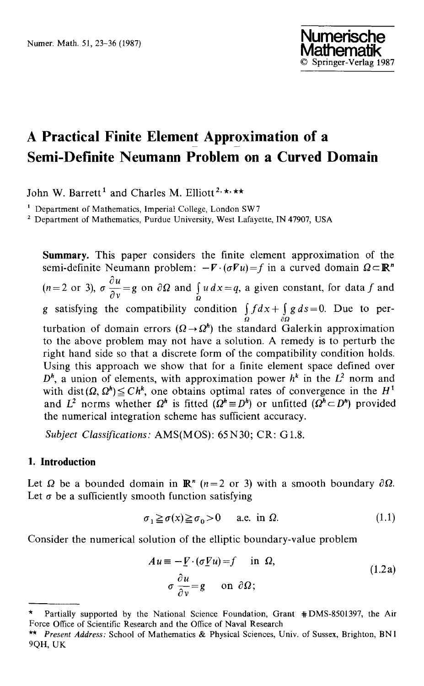# **A Practical Finite Element Approximation of a Semi-Definite Neumann Problem on a Curved Domain**

John W. Barrett<sup>1</sup> and Charles M. Elliott<sup>2, \*</sup>\*\*

<sup>1</sup> Department of Mathematics, Imperial College, London SW7

<sup>2</sup> Department of Mathematics, Purdue University, West Lafayette, IN 47907, USA

**Summary.** This paper considers the finite element approximation of the semi-definite Neumann problem:  $-\nabla \cdot (\sigma \nabla u) = f$  in a curved domain  $\Omega \subset \mathbb{R}^n$  $\partial u$  $(n=2 \text{ or } 3)$ ,  $\sigma \frac{d\mathbf{x}}{d\mathbf{v}}=g$  on  $\partial\Omega$  and  $\int_{\Omega} u \, dx = g$ , a given constant, for data f and g satisfying the compatibility condition  $\int_{\Omega} f dx + \int_{\partial \Omega} g ds = 0$ . Due to perturbation of domain errors  $(\Omega \rightarrow \Omega^{h})$  the standard Galerkin approximation to the above problem may not have a solution. A remedy is to perturb the right hand side so that a discrete form of the compatibility condition holds. Using this approach we show that for a finite element space defined over  $D^h$ , a union of elements, with approximation power  $h^k$  in the  $L^2$  norm and with dist( $\Omega$ ,  $\Omega^h$ )  $\leq C h^k$ , one obtains optimal rates of convergence in the  $H^1$ and  $L^2$  norms whether  $\Omega^h$  is fitted  $(\Omega^h \equiv D^h)$  or unfitted  $(\Omega^h \subset D^h)$  provided the numerical integration scheme has sufficient accuracy.

Subject Classifications: AMS(MOS): 65 N30; CR: G1.8.

## **I. Introduction**

Let  $\Omega$  be a bounded domain in  $\mathbb{R}^n$  (n=2 or 3) with a smooth boundary  $\partial \Omega$ . Let  $\sigma$  be a sufficiently smooth function satisfying

$$
\sigma_1 \ge \sigma(x) \ge \sigma_0 > 0 \quad \text{a.e. in } \Omega. \tag{1.1}
$$

Consider the numerical solution of the elliptic boundary-value problem

$$
Au \equiv -\underline{V} \cdot (\sigma \underline{V}u) = f \quad \text{in } \Omega,
$$
  
\n
$$
\sigma \frac{\partial u}{\partial v} = g \quad \text{on } \partial \Omega;
$$
 (1.2a)

Partially supported by the National Science Foundation, Grant #DMS-8501397, the Air Force Office of Scientific Research and the Office of Naval Research

*<sup>\*\*</sup> Present Address:* School of Mathematics & Physical Sciences, Univ. of Sussex, Brighton, BN1 9QH, UK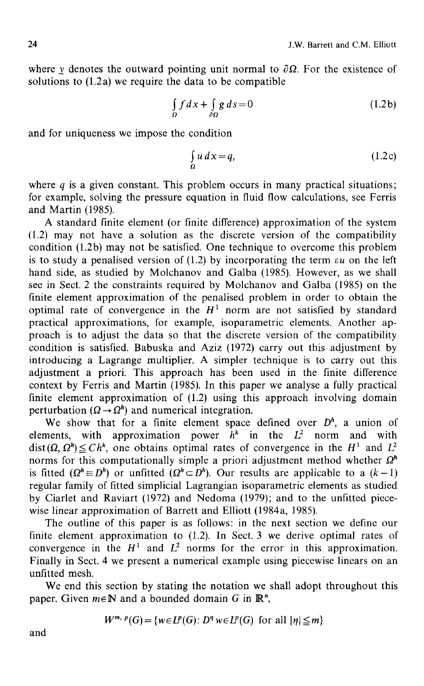where v denotes the outward pointing unit normal to  $\partial \Omega$ . For the existence of solutions to  $(1.2a)$  we require the data to be compatible

$$
\int_{\Omega} f dx + \int_{\partial \Omega} g ds = 0 \tag{1.2b}
$$

and for uniqueness we impose the condition

$$
\int_{\Omega} u \, dx = q,\tag{1.2c}
$$

where  $q$  is a given constant. This problem occurs in many practical situations; for example, solving the pressure equation in fluid flow calculations, see Ferris and Martin (1985).

A standard finite element (or finite difference) approximation of the system (1.2) may not have a solution as the discrete version of the compatibility condition (1.2b) may not be satisfied. One technique to overcome this problem is to study a penalised version of  $(1.2)$  by incorporating the term  $\epsilon u$  on the left hand side, as studied by Molchanov and Galba (1985). However, as we shall see in Sect. 2 the constraints required by Molchanov and Galba (1985) on the finite element approximation of the penalised problem in order to obtain the optimal rate of convergence in the  $H^1$  norm are not satisfied by standard practical approximations, for example, isoparametric elements. Another approach is to adjust the data so that the discrete version of the compatibility condition is satisfied. Babuska and Aziz (1972) carry out this adjustment by introducing a Lagrange multiplier. A simpler technique is to carry out this adjustment a priori. This approach has been used in the finite difference context by Ferris and Martin (1985). In this paper we analyse a fully practical finite element approximation of (1.2) using this approach involving domain perturbation ( $\Omega \rightarrow \Omega^{h}$ ) and numerical integration.

We show that for a finite element space defined over  $D<sup>h</sup>$ , a union of elements, with approximation power  $\hat{h}^k$  in the  $L^2$  norm and with  $dist(\Omega, \Omega^h) \leq Ch^k$ , one obtains optimal rates of convergence in the H<sup>1</sup> and  $L^2$ norms for this computationally simple a priori adjustment method whether  $\Omega^h$ is fitted  $(Q^h \equiv D^h)$  or unfitted  $(Q^h \subset D^h)$ . Our results are applicable to a  $(k-1)$ regular family of fitted simplicial Lagrangian isoparametric elements as studied by Ciarlet and Raviart (1972) and Nedoma (1979); and to the unfitted piecewise linear approximation of Barrett and Elliott (1984a, 1985).

The outline of this paper is as follows: in the next section we define our finite element approximation to (1.2). In Sect. 3 we derive optimal rates of convergence in the  $H^1$  and  $L^2$  norms for the error in this approximation. Finally in Sect. 4 we present a numerical example using piecewise linears on an unfitted mesh.

We end this section by stating the notation we shall adopt throughout this paper. Given  $m \in \mathbb{N}$  and a bounded domain G in  $\mathbb{R}^n$ ,

$$
W^{m, p}(G) = \{w \in L^p(G) : D^n w \in L^p(G) \text{ for all } |\eta| \leq m\}
$$

and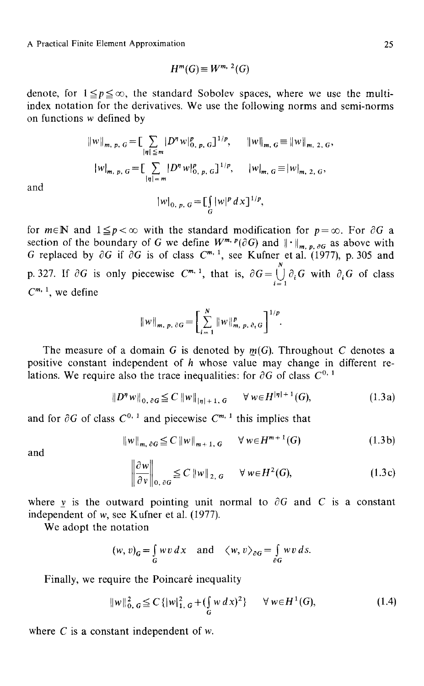$$
H^m(G) \equiv W^{m, 2}(G)
$$

denote, for  $1 \leq p \leq \infty$ , the standard Sobolev spaces, where we use the multiindex notation for the derivatives. We use the following norms and semi-norms on functions w defined by

$$
||w||_{m, p, G} = \left[\sum_{|\eta| \le m} |D^{\eta} w|_{0, p, G}^p\right]^{1/p}, \qquad ||w||_{m, G} \equiv ||w||_{m, 2, G},
$$

$$
|w|_{m, p, G} = \left[\sum_{|\eta| = m} |D^{\eta} w|_{0, p, G}^p\right]^{1/p}, \qquad |w|_{m, G} \equiv |w|_{m, 2, G},
$$

and

$$
|w|_{0, p, G} = \left[\int_G |w|^p \, dx\right]^{1/p},
$$

for  $m \in \mathbb{N}$  and  $1 \leq p < \infty$  with the standard modification for  $p=\infty$ . For  $\partial G$  a section of the boundary of G we define  $W^{m,\,p}(\partial G)$  and  $\|\cdot\|_{m,\,p,\, \partial G}$  as above with G replaced by  $\partial G$  if  $\partial G$  is of class  $C^{m,+}$ , see Kufner et al. (1977), p. 305 and  $N_{\perp}$ p. 327. If  $\partial G$  is only piecewise  $C^{m+1}$ , that is,  $\partial G = \bigcup_{i=1}^{\infty} \partial_i G$  with  $\partial_i G$  of class  $C^{m, 1}$ , we define

$$
||w||_{m, p, \partial G} = \left[\sum_{i=1}^{N} ||w||_{m, p, \partial_{i} G}^{p}\right]^{1/p}.
$$

The measure of a domain G is denoted by  $m(G)$ . Throughout C denotes a positive constant independent of  $h$  whose value may change in different relations. We require also the trace inequalities: for  $\partial G$  of class  $C^{0,1}$ 

$$
||D^{\eta} w||_{0,\partial G} \leq C ||w||_{|\eta|+1,\,G} \quad \forall w \in H^{|\eta|+1}(G),\tag{1.3a}
$$

and for  $\partial G$  of class  $C^{0,1}$  and piecewise  $C^{m,1}$  this implies that

$$
\|w\|_{m,\,\partial G} \leq C\, \|w\|_{m+1,\,G} \qquad \forall \, w \in H^{m+1}(G) \tag{1.3b}
$$

and

$$
\left\|\frac{\partial w}{\partial v}\right\|_{0,\,\partial G} \leq C \left\|w\right\|_{2,\,G} \quad \forall \, w \in H^2(G),\tag{1.3c}
$$

where v is the outward pointing unit normal to  $\partial G$  and C is a constant independent of w, see Kufner et al. (1977).

We adopt the notation

$$
(w, v)_G = \int_G wv \, dx \quad \text{and} \quad \langle w, v \rangle_{\partial G} = \int_{\partial G} wv \, ds.
$$

Finally, we require the Poincaré inequality

$$
||w||_{0, G}^{2} \leq C \{ |w|_{1, G}^{2} + (\int_{G} w dx)^{2} \} \quad \forall w \in H^{1}(G),
$$
 (1.4)

where  $C$  is a constant independent of  $w$ .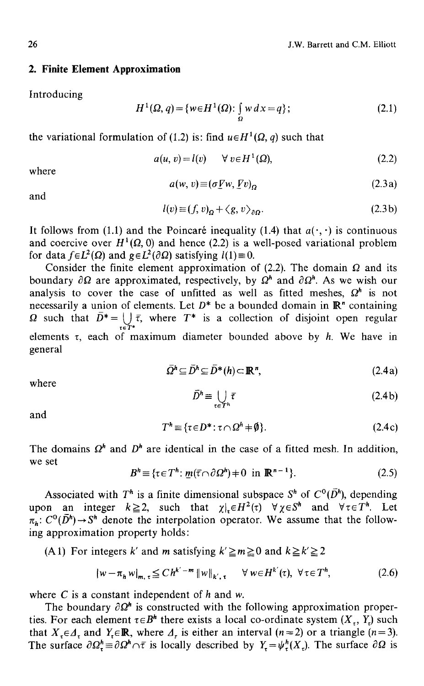#### **2. Finite Element Approximation**

Introducing

$$
H^{1}(\Omega, q) = \{ w \in H^{1}(\Omega) : \int_{\Omega} w \, dx = q \};
$$
\n(2.1)

the variational formulation of (1.2) is: find  $u \in H^1(\Omega, a)$  such that

$$
a(u, v) = l(v) \qquad \forall \ v \in H^1(\Omega), \tag{2.2}
$$

where

$$
a(w, v) \equiv (\sigma \underline{V}w, \underline{V}v)_{\Omega} \tag{2.3a}
$$

and

$$
l(v) \equiv (f, v)_{0} + \langle g, v \rangle_{\partial O}.
$$
 (2.3b)

It follows from (1.1) and the Poincaré inequality (1.4) that  $a(\cdot, \cdot)$  is continuous and coercive over  $H^1(\Omega, 0)$  and hence (2.2) is a well-posed variational problem for data  $f \in L^2(\Omega)$  and  $g \in L^2(\partial \Omega)$  satisfying  $l(1) \equiv 0$ .

Consider the finite element approximation of (2.2). The domain  $\Omega$  and its boundary  $\partial \Omega$  are approximated, respectively, by  $\Omega^h$  and  $\partial \Omega^h$ . As we wish our analysis to cover the case of unfitted as well as fitted meshes,  $\Omega^h$  is not necessarily a union of elements. Let  $D^*$  be a bounded domain in  $\mathbb{R}^n$  containing  $\Omega$  such that  $\overline{D}^* = \bigcup \overline{\tau}$ , where  $T^*$  is a collection of disjoint open regular elements  $\tau$ , each of maximum diameter bounded above by h. We have in general

$$
\bar{\Omega}^h \subseteq \bar{D}^h \subseteq \bar{D}^*(h) \subset \mathbb{R}^n, \tag{2.4a}
$$

where

$$
\bar{D}^h \equiv \bigcup_{\tau \in T^h} \bar{\tau} \tag{2.4b}
$$

and

$$
T^h \equiv \{ \tau \in D^* : \tau \cap \Omega^h \neq \emptyset \}. \tag{2.4c}
$$

The domains  $\Omega^h$  and  $D^h$  are identical in the case of a fitted mesh. In addition, we set

$$
Bh \equiv \{ \tau \in Th : \underline{m}(\overline{\tau} \cap \partial \Omega^h) + 0 \text{ in } \mathbb{R}^{n-1} \}. \tag{2.5}
$$

Associated with  $T^h$  is a finite dimensional subspace  $S^h$  of  $C^0(\bar{D}^h)$ , depending upon an integer  $k \geq 2$ , such that  $\chi |_{\tau} \in H^2(\tau)$   $\forall \chi \in S^h$  and  $\forall \tau \in T^h$ . Let  $\pi_h$ :  $C^0(D^h) \rightarrow S^h$  denote the interpolation operator. We assume that the following approximation property holds:

(A 1) For integers k' and m satisfying  $k' \ge m \ge 0$  and  $k \ge k' \ge 2$ 

$$
|w - \pi_h w|_{m, \tau} \leq C h^{k' - m} \|w\|_{k', \tau} \quad \forall w \in H^{k'}(\tau), \ \forall \tau \in T^h,
$$
 (2.6)

where  $C$  is a constant independent of  $h$  and  $w$ .

The boundary  $\partial \Omega^h$  is constructed with the following approximation properties. For each element  $\tau \in B^h$  there exists a local co-ordinate system  $(X_\tau, Y_\tau)$  such that  $X_{\tau} \in \Lambda_{\tau}$  and  $Y_{\tau} \in \mathbb{R}$ , where  $\Lambda_{\tau}$  is either an interval  $(n=2)$  or a triangle  $(n=3)$ . The surface  $\partial \Omega_r^{\mu} = \partial \Omega^n \cap \overline{\tau}$  is locally described by  $Y_{\tau} = \psi_r^{\mu}(X_{\tau})$ . The surface  $\partial \Omega$  is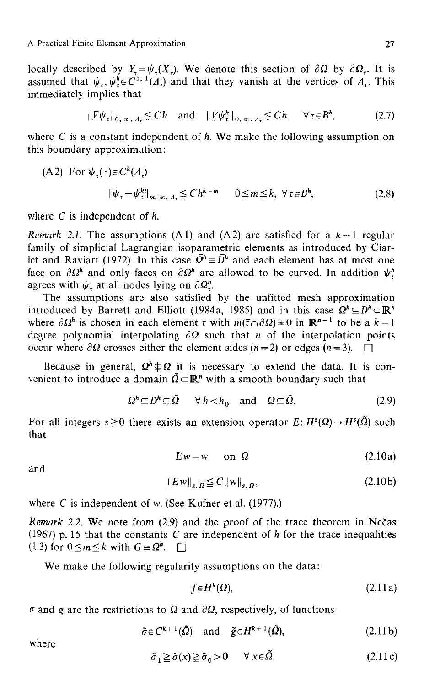locally described by  $Y_+ = \psi_+(X_+).$  We denote this section of  $\partial\Omega$  by  $\partial\Omega_+$ . It is assumed that  $\psi_{,p}$ ,  $\psi_{,p}^{h} \in C^{1,1}(\Lambda_{+})$  and that they vanish at the vertices of  $\Lambda_{+}$ . This immediately implies that

$$
\|\underline{\mathbf{F}}\psi_{\tau}\|_{0, \infty, A_{\tau}} \leq Ch \quad \text{and} \quad \|\underline{\mathbf{F}}\psi_{\tau}^{h}\|_{0, \infty, A_{\tau}} \leq Ch \quad \forall \tau \in B^{h}, \tag{2.7}
$$

where C is a constant independent of h. We make the following assumption on this boundary approximation:

(A2) For 
$$
\psi_{\tau}(\cdot) \in C^k(\Lambda_{\tau})
$$
  
\n
$$
\|\psi_{\tau} - \psi_{\tau}^h\|_{m, \infty, \Lambda_{\tau}} \leq C h^{k-m} \quad 0 \leq m \leq k, \ \forall \tau \in B^h,
$$
\n(2.8)

where  $C$  is independent of  $h$ .

*Remark 2.1.* The assumptions (A1) and (A2) are satisfied for a  $k-1$  regular family of simplicial Lagrangian isoparametric elements as introduced by Ciarlet and Raviart (1972). In this case  $\overline{\Omega}^h \equiv \overline{D}^h$  and each element has at most one face on  $\partial \Omega^h$  and only faces on  $\partial \Omega^h$  are allowed to be curved. In addition  $\psi^h$ agrees with  $\psi$ , at all nodes lying on  $\partial \Omega^h$ .

The assumptions are also satisfied by the unfitted mesh approximation introduced by Barrett and Elliott (1984a, 1985) and in this case  $\Omega^n \subseteq D^n \subset \mathbb{R}^n$ where  $\partial \Omega^h$  is chosen in each element  $\tau$  with  $m(\tau \cap \partial \Omega) \neq 0$  in  $\mathbb{R}^{n-1}$  to be a  $k-1$ degree polynomial interpolating  $\partial\Omega$  such that *n* of the interpolation points occur where  $\partial \Omega$  crosses either the element sides (n = 2) or edges (n = 3).  $\Box$ 

Because in general,  $\Omega^h \not\subseteq \Omega$  it is necessary to extend the data. It is convenient to introduce a domain  $\tilde{Q} \subset \mathbb{R}^n$  with a smooth boundary such that

$$
\Omega^h \subseteq D^h \subseteq \tilde{\Omega} \qquad \forall \ h < h_0 \quad \text{and} \quad \Omega \subseteq \tilde{\Omega}. \tag{2.9}
$$

For all integers  $s \ge 0$  there exists an extension operator  $E: H^{s}(\Omega) \rightarrow H^{s}(\tilde{\Omega})$  such that

$$
Ew = w \qquad \text{on } \Omega \tag{2.10a}
$$

and

$$
||Ew||_{s,\tilde{\Omega}} \leq C ||w||_{s,\Omega}, \qquad (2.10b)
$$

where C is independent of w. (See Kufner et al. (1977).)

*Remark 2.2.* We note from (2.9) and the proof of the trace theorem in Nečas (1967) p. 15 that the constants C are independent of  $h$  for the trace inequalities  $(1.3)$  for  $0 \le m \le k$  with  $G \equiv \Omega^h$ .  $\Box$ 

We make the following regularity assumptions on the data:

$$
f \in H^k(\Omega), \tag{2.11a}
$$

 $\sigma$  and g are the restrictions to  $\Omega$  and  $\partial\Omega$ , respectively, of functions

$$
\tilde{\sigma} \in C^{k+1}(\tilde{\Omega}) \quad \text{and} \quad \tilde{g} \in H^{k+1}(\tilde{\Omega}), \tag{2.11b}
$$

where

$$
\tilde{\sigma}_1 \ge \tilde{\sigma}(x) \ge \tilde{\sigma}_0 > 0 \quad \forall \ x \in \Omega. \tag{2.11c}
$$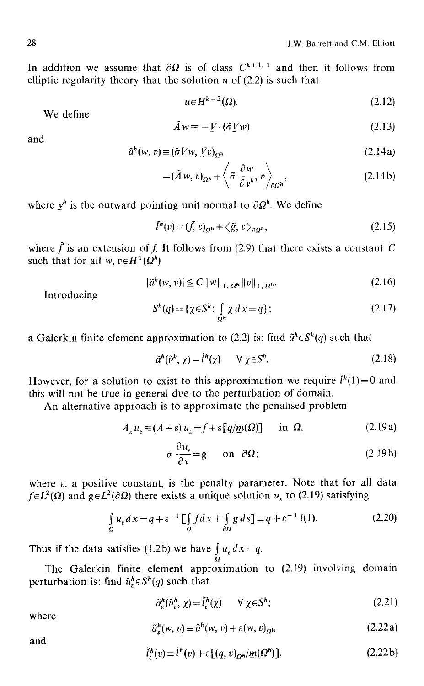In addition we assume that  $\partial\Omega$  is of class  $C^{k+1,1}$  and then it follows from elliptic regularity theory that the solution  $u$  of (2.2) is such that

$$
u \in H^{k+2}(\Omega). \tag{2.12}
$$

We define

$$
\tilde{A}w \equiv -\underline{V} \cdot (\tilde{\sigma} \underline{V}w) \tag{2.13}
$$

and

$$
\tilde{a}^h(w, v) \equiv (\tilde{\sigma} \underline{V} w, \underline{V} v)_{\Omega^h} \tag{2.14a}
$$

$$
= (\tilde{A} w, v)_{\Omega^h} + \left\langle \tilde{\sigma} \frac{\partial w}{\partial v^h}, v \right\rangle_{\partial \Omega^h}, \qquad (2.14b)
$$

where  $v^h$  is the outward pointing unit normal to  $\partial \Omega^h$ . We define

$$
\tilde{l}^h(v) = (\tilde{f}, v)_{\Omega^h} + \langle \tilde{g}, v \rangle_{\partial \Omega^h},\tag{2.15}
$$

where  $\tilde{f}$  is an extension of f. It follows from (2.9) that there exists a constant C such that for all *w*,  $v \in H^1(\Omega^h)$ 

$$
|\tilde{a}^h(w, v)| \le C \|w\|_{1, \Omega^h} \|v\|_{1, \Omega^h}.
$$
 (2.16)

Introducing

$$
S^{h}(q) = \{ \chi \in S^{h}: \int_{\Omega^{h}} \chi \, dx = q \};\tag{2.17}
$$

a Galerkin finite element approximation to (2.2) is: find  $\tilde{u}^h \in S^h(q)$  such that

$$
\tilde{a}^h(\tilde{u}^h, \chi) = \tilde{l}^h(\chi) \qquad \forall \ \chi \in S^h. \tag{2.18}
$$

However, for a solution to exist to this approximation we require  $\tilde{l}^h(1)=0$  and this will not be true in general due to the perturbation of domain.

An alternative approach is to approximate the penalised problem

$$
A_{\varepsilon} u_{\varepsilon} \equiv (A + \varepsilon) u_{\varepsilon} = f + \varepsilon [q/m(\Omega)] \quad \text{in } \Omega,
$$
 (2.19a)

$$
\sigma \frac{\partial u_{\varepsilon}}{\partial v} = g \qquad \text{on} \quad \partial \Omega; \tag{2.19b}
$$

where  $\varepsilon$ , a positive constant, is the penalty parameter. Note that for all data  $f \in L^2(\Omega)$  and  $g \in L^2(\partial \Omega)$  there exists a unique solution  $u<sub>s</sub>$  to (2.19) satisfying

$$
\int_{\Omega} u_{\varepsilon} dx = q + \varepsilon^{-1} \left[ \int_{\Omega} f dx + \int_{\partial \Omega} g ds \right] \equiv q + \varepsilon^{-1} l(1). \tag{2.20}
$$

Thus if the data satisfies (1.2b) we have  $\int u_{\epsilon} dx = q$ .  $\tilde{\boldsymbol{\Omega}}$ 

The Galerkin finite element approximation to (2.19) involving domain perturbation is: find  $\tilde{u}_\varepsilon^h \in S^h(q)$  such that

$$
\tilde{a}_{\varepsilon}^{\hbar}(\tilde{u}_{\varepsilon}^{\hbar}, \chi) = \tilde{l}_{\varepsilon}^{\hbar}(\chi) \qquad \forall \ \chi \in S^{\hbar};\tag{2.21}
$$

where

$$
\tilde{a}_{\varepsilon}^{h}(w, v) \equiv \tilde{a}^{h}(w, v) + \varepsilon(w, v)_{\Omega^{h}}
$$
\n(2.22a)

and

$$
\tilde{l}_{\varepsilon}^{h}(v) \equiv \tilde{l}^{h}(v) + \varepsilon [(q, v)_{\Omega^{h}}/m(\Omega^{h})]. \qquad (2.22b)
$$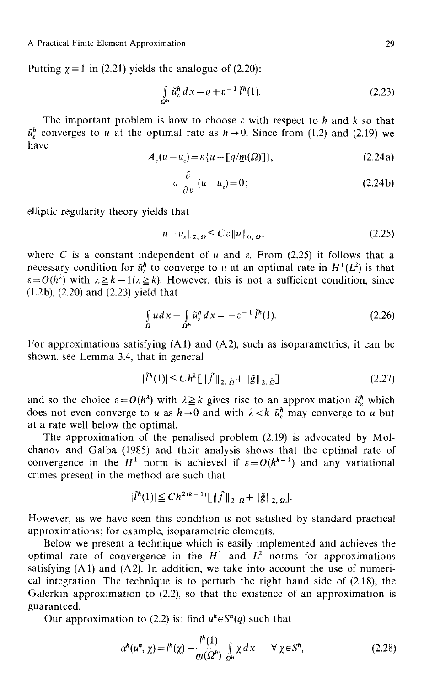Putting  $\gamma = 1$  in (2.21) yields the analogue of (2.20):

$$
\int_{\Omega^h} \tilde{u}_\varepsilon^h \, dx = q + \varepsilon^{-1} \tilde{l}^h(1). \tag{2.23}
$$

The important problem is how to choose  $\varepsilon$  with respect to h and k so that  $\tilde{u}^h$  converges to u at the optimal rate as  $h \rightarrow 0$ . Since from (1.2) and (2.19) we have

$$
A_{\varepsilon}(u - u_{\varepsilon}) = \varepsilon \{ u - \lfloor q / \underline{m}(\Omega) \rfloor \},\tag{2.24a}
$$

$$
\sigma \frac{\partial}{\partial v} (u - u_{\varepsilon}) = 0; \tag{2.24b}
$$

elliptic regularity theory yields that

$$
||u - u_{\varepsilon}||_{2, \Omega} \leq C \varepsilon ||u||_{0, \Omega}, \qquad (2.25)
$$

where C is a constant independent of u and  $\varepsilon$ . From (2.25) it follows that a necessary condition for  $\tilde{u}_n^h$  to converge to u at an optimal rate in  $H^1(L^2)$  is that  $\varepsilon = O(h^{\lambda})$  with  $\lambda \geq k-1$  ( $\lambda \geq k$ ). However, this is not a sufficient condition, since (l.2b), (2.20) and (2.23) yield that

$$
\int_{\Omega} u dx - \int_{\Omega^h} \tilde{u}_\varepsilon^h dx = -\varepsilon^{-1} \tilde{l}^h(1). \tag{2.26}
$$

For approximations satisfying (A1) and (A2), such as isoparametrics, it can be shown, see Lemma 3.4, that in general

$$
|\tilde{l}^{h}(1)| \leq C h^{k} \big[ \| \tilde{f} \|_{2, \, \tilde{\Omega}} + \| \tilde{g} \|_{2, \, \tilde{\Omega}} \big]
$$
\n(2.27)

and so the choice  $\varepsilon = O(h^{\lambda})$  with  $\lambda \geq k$  gives rise to an approximation  $\tilde{u}_n^h$  which does not even converge to u as  $h \rightarrow 0$  and with  $\lambda < k$   $\tilde{u}_k^h$  may converge to u but at a rate well below the optimal.

The approximation of the penalised problem (2.19) is advocated by Molchanov and Galba (1985) and their analysis shows that the optimal rate of convergence in the  $H^1$  norm is achieved if  $\varepsilon = O(h^{k-1})$  and any variational crimes present in the method are such that

$$
|\tilde{l}^h(1)| \leq C h^{2(k-1)} \llbracket ||\tilde{f}||_{2,\,\Omega} + ||\tilde{g}||_{2,\,\Omega}.
$$

However, as we have seen this condition is not satisfied by standard practical approximations; for example, isoparametric elements.

Below we present a technique which is easily implemented and achieves the optimal rate of convergence in the  $H^1$  and  $L^2$  norms for approximations satisfying (A1) and (A2). In addition, we take into account the use of numerical integration. The technique is to perturb the right hand side of (2.18), the Galerkin approximation to (2.2), so that the existence of an approximation is guaranteed.

Our approximation to (2.2) is: find  $u^h \in S^h(q)$  such that

$$
a^{h}(u^{h}, \chi) = l^{h}(\chi) - \frac{l^{h}(1)}{\underline{m}(\Omega^{h})} \int_{\Omega^{h}} \chi \, dx \qquad \forall \ \chi \in S^{h}, \tag{2.28}
$$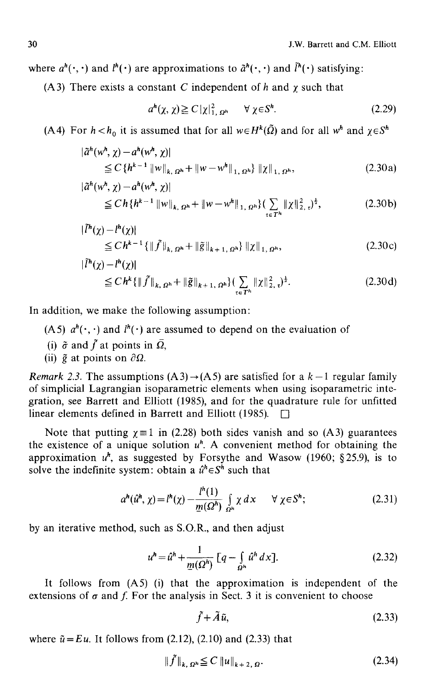where  $a^h(\cdot, \cdot)$  and  $l^h(\cdot)$  are approximations to  $\tilde{a}^h(\cdot, \cdot)$  and  $\tilde{l}^h(\cdot)$  satisfying:

(A3) There exists a constant C independent of h and  $\chi$  such that

$$
a^{h}(\chi,\chi) \geq C\,|\chi|_{1,\,\Omega^{h}}^{2} \qquad \forall \,\chi \in S^{h}.\tag{2.29}
$$

(A4) For  $h < h_0$  it is assumed that for all  $w \in H^k(\tilde{\Omega})$  and for all  $w^h$  and  $\gamma \in S^h$ 

$$
\begin{aligned} |\tilde{a}^h(w^h, \chi) - a^h(w^h, \chi)| \\ &\leq C \left\{ h^{k-1} \left\| w \right\|_{k, \Omega^h} + \left\| w - w^h \right\|_{1, \Omega^h} \right\} \left\| \chi \right\|_{1, \Omega^h}, \end{aligned} \tag{2.30a}
$$

$$
\begin{split} |\tilde{a}^h(w^h, \chi) - a^h(w^h, \chi)| \\ &\le Ch \{ h^{k-1} \, \|w\|_{k, \, \Omega^h} + \|w - w^h\|_{1, \, \Omega^h} \} \big( \sum_{t \in T^h} \| \chi \|_{2, \, t}^2 \big)^{\frac{1}{2}}, \end{split} \tag{2.30b}
$$

$$
\begin{aligned} |\tilde{l}^{h}(\chi) - l^{h}(\chi)| &\leq Ch^{k-1} \{ \|\tilde{f}\|_{k, \Omega^{h}} + \|\tilde{g}\|_{k+1, \Omega^{h}} \} \|\chi\|_{1, \Omega^{h}}, \end{aligned} \tag{2.30c}
$$

$$
\begin{split} |\tilde{l}^{h}(\chi) - l^{h}(\chi)| &\leq Ch^{k} \{ \| \tilde{f} \|_{k, \Omega^{h}} + \| \tilde{g} \|_{k+1, \Omega^{h}} \} \left( \sum_{\tau \in T^{h}} \| \chi \|_{2, \tau}^{2} \right)^{\frac{1}{2}} . \end{split} \tag{2.30d}
$$

In addition, we make the following assumption:

- (A5)  $a^h$ ( $\cdot$ ,  $\cdot$ ) and  $l^h$ ( $\cdot$ ) are assumed to depend on the evaluation of
- (i)  $\tilde{\sigma}$  and  $\tilde{f}$  at points in  $\overline{Q}$ ,
- (ii)  $\tilde{g}$  at points on  $\partial \Omega$ .

*Remark 2.3.* The assumptions  $(A3) \rightarrow (A5)$  are satisfied for a  $k-1$  regular family of simplicial Lagrangian isoparametric elements when using isoparametric integration, see Barrett and Elliott (1985), and for the quadrature rule for unfitted linear elements defined in Barrett and Elliott (1985).

Note that putting  $\chi = 1$  in (2.28) both sides vanish and so (A3) guarantees the existence of a unique solution  $u<sup>h</sup>$ . A convenient method for obtaining the approximation  $u^h$ , as suggested by Forsythe and Wasow (1960; §25.9), is to solve the indefinite system: obtain a  $\hat{u}^h \in S^h$  such that

$$
a^{h}(\hat{u}^{h}, \chi) = l^{h}(\chi) - \frac{l^{h}(1)}{\underline{m}(\Omega^{h})} \int_{\Omega^{h}} \chi \, dx \qquad \forall \ \chi \in S^{h}; \tag{2.31}
$$

by an iterative method, such as S.O.R., and then adjust

$$
u^{h} = \hat{u}^{h} + \frac{1}{\underline{m}(\Omega^{h})} \left[ q - \int_{\Omega^{h}} \hat{u}^{h} dx \right].
$$
 (2.32)

It follows from (A5) (i) that the approximation is independent of the extensions of  $\sigma$  and f. For the analysis in Sect. 3 it is convenient to choose

$$
\tilde{f} + \tilde{A}\tilde{u}, \tag{2.33}
$$

where  $\tilde{u} = Eu$ . It follows from (2.12), (2.10) and (2.33) that

$$
\|f\|_{k, \Omega^n} \leq C \|u\|_{k+2, \Omega}. \tag{2.34}
$$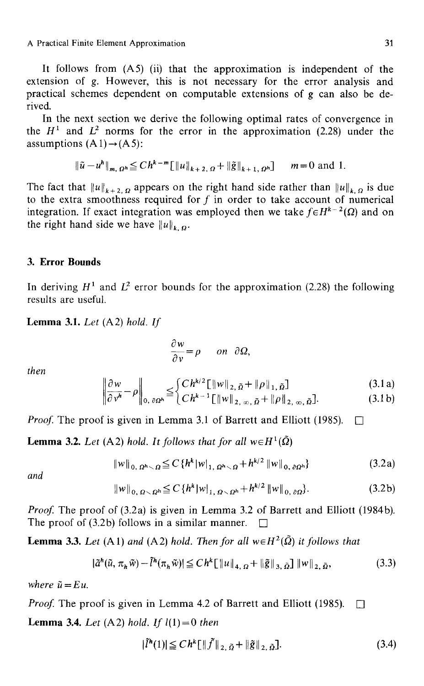It follows from  $(A5)$  (ii) that the approximation is independent of the extension of g. However, this is not necessary for the error analysis and practical schemes dependent on computable extensions of  $g$  can also be derived.

In the next section we derive the following optimal rates of convergence in the  $H^1$  and  $L^2$  norms for the error in the approximation (2.28) under the assumptions  $(A1) \rightarrow (A5)$ :

$$
\|\tilde{u} - u^h\|_{m, \Omega^h} \leq C h^{k-m} \|\|u\|_{k+2, \Omega} + \|\tilde{g}\|_{k+1, \Omega^h} \qquad m = 0 \text{ and } 1.
$$

The fact that  $||u||_{k+2,Q}$  appears on the right hand side rather than  $||u||_{k,Q}$  is due to the extra smoothness required for f in order to take account of numerical integration. If exact integration was employed then we take  $f \in H^{k-2}(\Omega)$  and on the right hand side we have  $||u||_{k,\Omega}$ .

## **3. Error Bounds**

In deriving  $H^1$  and  $L^2$  error bounds for the approximation (2.28) the following results are useful.

Lemma 3.1. *Let* (A2) *hold. If* 

$$
\frac{\partial w}{\partial v} = \rho \quad on \ \partial \Omega,
$$

*then* 

$$
\left\|\frac{\partial w}{\partial v^h} - \rho\right\|_{0, \partial\Omega^h} \leq \begin{cases} Ch^{k/2} \left[ \|w\|_{2, \, \tilde{\Omega}} + \|\rho\|_{1, \, \tilde{\Omega}} \right] & (3.1a) \\ Ch^{k-1} \left[ \|w\|_{2, \, \infty, \, \tilde{\Omega}} + \|\rho\|_{2, \, \infty, \, \tilde{\Omega}} \right]. & (3.1b) \end{cases}
$$

*Proof.* The proof is given in Lemma 3.1 of Barrett and Elliott (1985).  $\Box$ 

**Lemma 3.2.** Let (A2) hold. It follows that for all  $w \in H^1(\Omega)$ 

$$
||w||_{0, \Omega^{h} \setminus \Omega} \leq C \{ h^{k} |w|_{1, \Omega^{h} \setminus \Omega} + h^{k/2} ||w||_{0, \partial \Omega^{h}} \}
$$
(3.2a)

*and* 

$$
||w||_{0, \Omega \setminus \Omega^{h}} \leq C \{ h^{k} |w|_{1, \Omega \setminus \Omega^{h}} + h^{k/2} ||w||_{0, \partial \Omega} \}.
$$
 (3.2b)

*Proof.* The proof of (3.2a) is given in Lemma 3.2 of Barrett and Elliott (1984b). The proof of (3.2b) follows in a similar manner.  $\Box$ 

**Lemma 3.3.** *Let* (A1) *and* (A2) *hold. Then for all*  $w \in H^2(\tilde{\Omega})$  *it follows that* 

$$
|\tilde{a}^h(\tilde{u}, \pi_h \tilde{w}) - \tilde{l}^h(\pi_h \tilde{w})| \leq Ch^k \left[ ||u||_{4, \Omega} + ||\tilde{g}||_{3, \tilde{\Omega}} \right] ||w||_{2, \tilde{\Omega}}, \tag{3.3}
$$

*where*  $\tilde{u} = E u$ .

*Proof.* The proof is given in Lemma 4.2 of Barrett and Elliott (1985).  $\Box$ **Lemma 3.4.** *Let* (A2) *hold. If*  $l(1) = 0$  *then* 

$$
|\tilde{l}^{h}(1)| \leq C h^{k} \left[ \| \tilde{f} \|_{2, \, \tilde{\Omega}} + \| \tilde{g} \|_{2, \, \tilde{\Omega}} \right]. \tag{3.4}
$$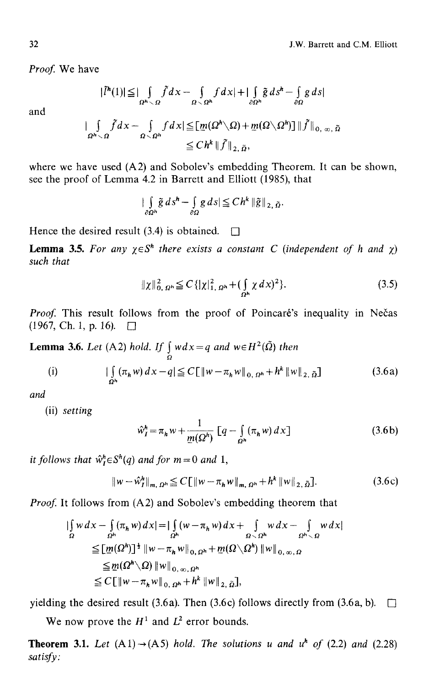Proof. We have

$$
|\tilde{l}^h(1)| \leq |\int_{\Omega^h \setminus \Omega} \tilde{f} dx - \int_{\Omega \setminus \Omega^h} f dx| + |\int_{\partial \Omega^h} \tilde{g} ds^h - \int_{\partial \Omega} g ds|
$$

and

$$
\|\int_{\Omega^h\setminus\Omega}\tilde{f}dx-\int_{\Omega\setminus\Omega^h}fdx|\leq [\underline{m}(\Omega^h\setminus\Omega)+\underline{m}(\Omega\setminus\Omega^h)]\|\tilde{f}\|_{0,\infty,\tilde{\Omega}}\leq Ch^k\|\tilde{f}\|_{2,\tilde{\Omega}},
$$

where we have used (A2) and Sobolev's embedding Theorem. It can be shown, see the proof of Lemma 4.2 in Barrett and Elliott (1985), that

$$
\int\limits_{\partial\Omega^h}\tilde{g}\,ds^h-\int\limits_{\partial\Omega}g\,ds\,\leq Ch^k\,\|\tilde{g}\,\|_{2,\,\tilde{\Omega}}.
$$

Hence the desired result (3.4) is obtained.  $\Box$ 

**Lemma 3.5.** For any  $\chi \in S^h$  there exists a constant C (independent of h and  $\chi$ ) *such that* 

$$
\|\chi\|_{0,\,\Omega^h}^2 \le C \{|\chi|_{1,\,\Omega^h}^2 + (\int_{\Omega^h} \chi \,dx)^2\}.
$$
 (3.5)

Proof. This result follows from the proof of Poincaré's inequality in Nečas  $(1967, Ch. 1, p. 16). \square$ 

**Lemma 3.6.** *Let* (A2) *hold. If*  $\int_{\Omega} w dx = q$  *and*  $w \in H^2(\Omega)$  *then* 

(i) 
$$
|\int_{\Omega^h} (\pi_h w) dx - q| \leq C \left[ \|w - \pi_h w\|_{0, \Omega^h} + h^k \|w\|_{2, \tilde{\Omega}} \right]
$$
(3.6a)

*and* 

(ii) *setting* 

$$
\hat{w}_I^h = \pi_h w + \frac{1}{\underline{m}(\Omega^h)} \left[ q - \int_{\Omega^h} (\pi_h w) \, dx \right] \tag{3.6b}
$$

*it follows that*  $\hat{w}_i^h \in S^h(q)$  *and for*  $m = 0$  *and* 1,

$$
\|w - \hat{w}_I^h\|_{m, \Omega^h} \le C \left[ \|w - \pi_h w\|_{m, \Omega^h} + h^k \|w\|_{2, \tilde{\Omega}} \right].
$$
 (3.6c)

*Proof.* It follows from (A2) and Sobolev's embedding theorem that

$$
\begin{split} |\int_{\Omega} w \, dx - \int_{\Omega} (\pi_h w) \, dx| &= |\int_{\Omega^h} (w - \pi_h w) \, dx + \int_{\Omega \setminus \Omega^h} w \, dx - \int_{\Omega^h \setminus \Omega} w \, dx| \\ &\leq [\underline{m}(\Omega^h)]^{\frac{1}{2}} \, \|w - \pi_h w\|_{0, \Omega^h} + \underline{m}(\Omega \setminus \Omega^h) \, \|w\|_{0, \infty, \Omega} \\ &\leq \underline{m}(\Omega^h \setminus \Omega) \, \|w\|_{0, \infty, \Omega^h} \\ &\leq C \, \big[ \|w - \pi_h w\|_{0, \Omega^h} + h^k \, \|w\|_{2, \, \bar{\Omega}} \big], \end{split}
$$

yielding the desired result (3.6a). Then (3.6c) follows directly from (3.6a, b).  $\Box$ 

We now prove the  $H^1$  and  $L^2$  error bounds.

**Theorem 3.1.** *Let*  $(A1) \rightarrow (A5)$  *hold. The solutions u and u<sup>h</sup> of* (2.2) *and* (2.28) *satisfy:*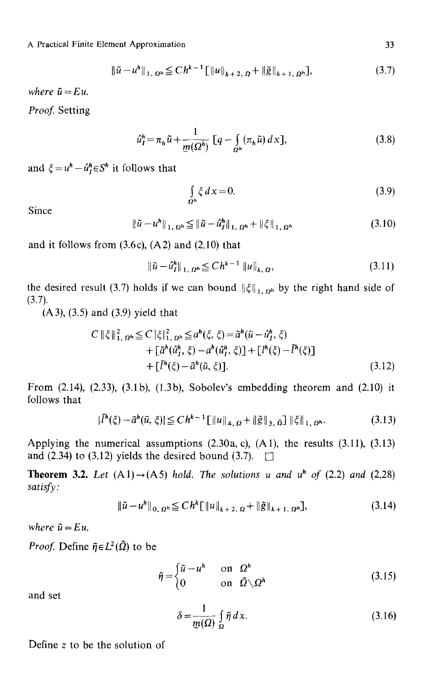A Practical Finite Element Approximation

$$
\|\tilde{u} - u^h\|_{1, \Omega^h} \leq C h^{k-1} \left[ \|u\|_{k+2, \Omega} + \|\tilde{g}\|_{k+1, \Omega^h} \right],
$$
\n(3.7)

*where*  $\tilde{u} = Eu$ .

Proof. Setting

$$
\hat{u}_I^h = \pi_h \tilde{u} + \frac{1}{\underline{m}(\Omega^h)} \left[ q - \int_{\Omega^h} (\pi_h \tilde{u}) \, dx \right],\tag{3.8}
$$

and  $\xi = u^h - \hat{u}_t^h \in S^h$  it follows that

$$
\int_{\Omega^h} \zeta \, dx = 0. \tag{3.9}
$$

Since

$$
\|\tilde{u} - u^h\|_{1, \Omega^h} \le \|\tilde{u} - \hat{u}_I^h\|_{1, \Omega^h} + \|\xi\|_{1, \Omega^h}
$$
 (3.10)

and it follows from  $(3.6c)$ ,  $(A2)$  and  $(2.10)$  that

$$
\|\tilde{u} - \hat{u}_I^h\|_{1, \Omega^h} \leq C h^{k-1} \|u\|_{k, \Omega}, \tag{3.11}
$$

the desired result (3.7) holds if we can bound  $\|\xi\|_{1, \Omega^h}$  by the right hand side of  $(3.7).$ 

(A 3), (3.5) and (3.9) yield that

$$
C \|\xi\|_{1,\Omega^{h}}^{2} \leq C \|\xi\|_{1,\Omega^{h}}^{2} \leq a^{h}(\xi,\xi) = \tilde{a}^{h}(\tilde{u} - \hat{u}_{1}^{h},\xi) + \left[\tilde{a}^{h}(\hat{u}_{1}^{h},\xi) - a^{h}(\hat{u}_{1}^{h},\xi)\right] + \left[l^{h}(\xi) - \tilde{l}^{h}(\xi)\right] + \left[\tilde{l}^{h}(\xi) - \tilde{a}^{h}(\tilde{u},\xi)\right].
$$
\n(3.12)

From (2.14), (2.33), (3.1b), (1.3b), Sobolev's embedding theorem and (2.10) it follows that

$$
|\bar{l}^{h}(\xi) - \tilde{a}^{h}(\tilde{u}, \xi)| \leq C h^{k-1} \left[ \|u\|_{4, \Omega} + \|\tilde{g}\|_{3, \tilde{\Omega}} \right] \|\xi\|_{1, \Omega^{h}}.
$$
 (3.13)

Applying the numerical assumptions (2.30a, c), (AI), the results (3.11), (3.13) and (2.34) to (3.12) yields the desired bound (3.7).  $\Box$ 

**Theorem 3.2.** Let  $(A1) \rightarrow (A5)$  *hold. The solutions u and u<sup>h</sup> of (2.2) and (2.28) satisfy:* 

$$
\|\tilde{u} - u^h\|_{0, \Omega^h} \leq C h^k \|\|u\|_{k+2, \Omega} + \|\tilde{g}\|_{k+1, \Omega^h}, \tag{3.14}
$$

*where*  $\tilde{u} = Eu$ .

*Proof.* Define  $\tilde{\eta} \in L^2(\tilde{\Omega})$  to be

$$
\tilde{\eta} = \begin{cases} \tilde{u} - u^h & \text{on } \Omega^h \\ 0 & \text{on } \tilde{\Omega} \setminus \Omega^h \end{cases}
$$
 (3.15)

and set

$$
\delta = \frac{1}{m(\Omega)} \int_{\Omega} \tilde{\eta} \, dx. \tag{3.16}
$$

Define z to be the solution of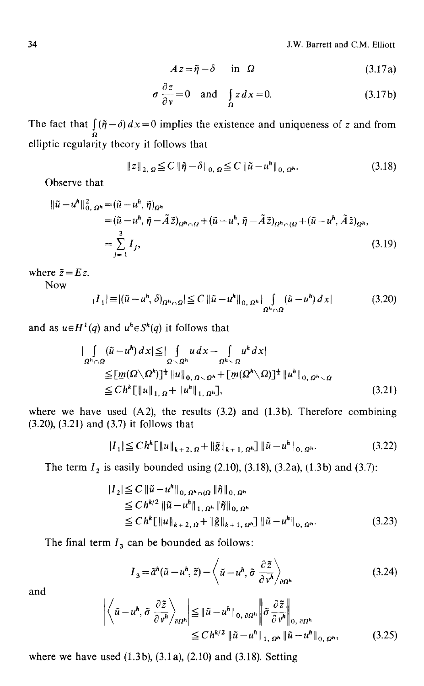$$
Az = \tilde{\eta} - \delta \quad \text{in} \quad \Omega \tag{3.17a}
$$

$$
\sigma \frac{\partial z}{\partial v} = 0 \quad \text{and} \quad \int_{\Omega} z \, dx = 0. \tag{3.17b}
$$

The fact that  $\int_{0}^{x} (\tilde{\eta} - \delta) dx = 0$  implies the existence and uniqueness of z and from elliptic regularity theory it follows that

$$
\|z\|_{2, \Omega} \leq C \|\tilde{\eta} - \delta\|_{0, \Omega} \leq C \|\tilde{u} - u^h\|_{0, \Omega^h}.
$$
 (3.18)

Observe that

$$
\begin{split} \|\tilde{u} - u^h\|_{0,\,\Omega^h}^2 &= (\tilde{u} - u^h, \tilde{\eta})_{\Omega^h} \\ &= (\tilde{u} - u^h, \tilde{\eta} - \tilde{A}\tilde{z})_{\Omega^h \cap \Omega} + (\tilde{u} - u^h, \tilde{\eta} - \tilde{A}\tilde{z})_{\Omega^h \cap (\Omega} + (\tilde{u} - u^h, \tilde{A}\tilde{z})_{\Omega^h}, \\ &= \sum_{j=1}^3 I_j, \end{split} \tag{3.19}
$$

where  $\tilde{z} = E z$ .

Now

$$
|I_1| \equiv |(\tilde{u} - u^h, \delta)_{\Omega^h \cap \Omega}| \leq C \|\tilde{u} - u^h\|_{0, \Omega^h} \int_{\Omega^h \cap \Omega} (\tilde{u} - u^h) dx|
$$
 (3.20)

and as  $u \in H^1(q)$  and  $u^h \in S^h(q)$  it follows that

$$
\|\int_{\Omega^h \cap \Omega} (\tilde{u} - u^h) dx\| \leq \|\int_{\Omega \setminus \Omega^h} u dx - \int_{\Omega^h \setminus \Omega} u^h dx\|
$$
  
\n
$$
\leq [\underline{m}(\Omega \setminus \Omega^h)]^{\frac{1}{2}} \|u\|_{0, \Omega \setminus \Omega^h} + [\underline{m}(\Omega^h \setminus \Omega)]^{\frac{1}{2}} \|u^h\|_{0, \Omega^h \setminus \Omega}
$$
  
\n
$$
\leq C h^k [\|u\|_{1, \Omega} + \|u^h\|_{1, \Omega^h}], \tag{3.21}
$$

where we have used  $(A2)$ , the results  $(3.2)$  and  $(1.3b)$ . Therefore combining (3.20), (3.21) and (3.7) it follows that

$$
|I_1| \leq C h^k [\|u\|_{k+2,\,\Omega} + \|\tilde{g}\|_{k+1,\,\Omega^h}] \, \|\tilde{u} - u^h\|_{0,\,\Omega^h}.
$$

The term  $I_2$  is easily bounded using (2.10), (3.18), (3.2a), (1.3b) and (3.7):

$$
|I_{2}| \leq C \|\tilde{u} - u^{h}\|_{0, \Omega^{h} \cap (\Omega)} \|\tilde{\eta}\|_{0, \Omega^{h}}
$$
  
\n
$$
\leq C h^{k/2} \|\tilde{u} - u^{h}\|_{1, \Omega^{h}} \|\tilde{\eta}\|_{0, \Omega^{h}}
$$
  
\n
$$
\leq C h^{k} \|\|u\|_{k+2, \Omega} + \|\tilde{g}\|_{k+1, \Omega^{h}} \|\tilde{u} - u^{h}\|_{0, \Omega^{h}}.
$$
\n(3.23)

The final term  $I_3$  can be bounded as follows:

$$
I_3 = \tilde{a}^h(\tilde{u} - u^h, \tilde{z}) - \left\langle \tilde{u} - u^h, \tilde{\sigma} \frac{\partial \tilde{z}}{\partial v^h} \right\rangle_{\partial \Omega^h}
$$
(3.24)

and

$$
\left| \left\langle \tilde{u} - u^{h}, \tilde{\sigma} \frac{\partial \tilde{z}}{\partial v^{h}} \right\rangle_{\partial \Omega^{h}} \right| \leq \left\| \tilde{u} - u^{h} \right\|_{0, \partial \Omega^{h}} \left\| \tilde{\sigma} \frac{\partial \tilde{z}}{\partial v^{h}} \right\|_{0, \partial \Omega^{h}} \leq Ch^{k/2} \left\| \tilde{u} - u^{h} \right\|_{1, \Omega^{h}} \left\| \tilde{u} - u^{h} \right\|_{0, \Omega^{h}}, \qquad (3.25)
$$

where we have used (1.3b), (3.1a), (2.10) and (3.18). Setting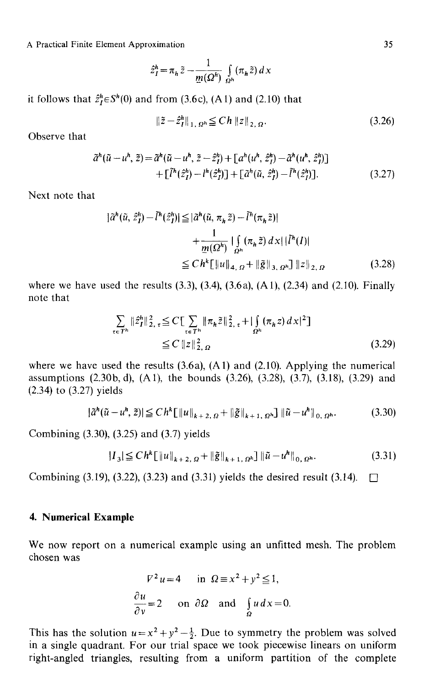A Practical Finite Element Approximation

$$
\hat{z}_I^h = \pi_h \tilde{z} - \frac{1}{\underline{m}(\Omega^h)} \int_{\Omega^h} (\pi_h \tilde{z}) dx
$$

it follows that  $\hat{z}_t^h \in S^h(0)$  and from (3.6c), (A1) and (2.10) that

$$
\|\tilde{z} - \hat{z}_I^h\|_{1, \Omega^h} \le C h \|z\|_{2, \Omega}.
$$
 (3.26)

Observe that

$$
\tilde{a}^{h}(\tilde{u} - u^{h}, \tilde{z}) = \tilde{a}^{h}(\tilde{u} - u^{h}, \tilde{z} - \hat{z}_{I}^{h}) + [a^{h}(u^{h}, \hat{z}_{I}^{h}) - \tilde{a}^{h}(u^{h}, \hat{z}_{I}^{h})] + [ \tilde{l}^{h}(\hat{z}_{I}^{h}) - l^{h}(\hat{z}_{I}^{h}) ] + [ \tilde{a}^{h}(\tilde{u}, \hat{z}_{I}^{h}) - \tilde{l}^{h}(\hat{z}_{I}^{h}) ].
$$
\n(3.27)

Next note that

$$
|\tilde{a}^{h}(\tilde{u}, \hat{z}_{I}^{h}) - \tilde{l}^{h}(\hat{z}_{I}^{h})| \leq |\tilde{a}^{h}(\tilde{u}, \pi_{h}\tilde{z}) - \tilde{l}^{h}(\pi_{h}\tilde{z})|
$$
  
+ 
$$
\frac{1}{m(\Omega^{h})} \left| \int_{\Omega^{h}} (\pi_{h}\tilde{z}) dx \right| |\tilde{l}^{h}(I)|
$$
  

$$
\leq C h^{k} \left[ ||u||_{4, \Omega} + ||\tilde{g}||_{3, \Omega^{h}} \right] ||z||_{2, \Omega}
$$
(3.28)

where we have used the results  $(3.3)$ ,  $(3.4)$ ,  $(3.6a)$ ,  $(A1)$ ,  $(2.34)$  and  $(2.10)$ . Finally note that

$$
\sum_{\tau \in T^h} \|\hat{z}_I^h\|_{2, \tau}^2 \le C \sum_{\tau \in T^h} \|\pi_h \tilde{z}\|_{2, \tau}^2 + |\int_{\Omega^h} (\pi_h z) \, dx|^2]
$$
\n
$$
\le C \, \|z\|_{2, \Omega}^2 \tag{3.29}
$$

where we have used the results  $(3.6a)$ ,  $(A1)$  and  $(2.10)$ . Applying the numerical assumptions (2.30b, d), (A1), the bounds (3.26), (3.28), (3.7), (3.18), (3.29) and (2.34) to (3.27) yields

$$
|\tilde{a}^{h}(\tilde{u} - u^{h}, \tilde{z})| \leq C h^{k} \left[ ||u||_{k+2, \Omega} + ||\tilde{g}||_{k+1, \Omega^{h}} \right] ||\tilde{u} - u^{h}||_{0, \Omega^{h}}.
$$
 (3.30)

Combining (3.30), (3.25) and (3.7) yields

$$
|I_3| \leq Ch^k \left[ \|u\|_{k+2,\,\Omega} + \|\tilde{g}\|_{k+1,\,\Omega^h} \right] \|\tilde{u} - u^h\|_{0,\,\Omega^h}.
$$
 (3.31)

Combining (3.19), (3.22), (3.23) and (3.31) yields the desired result (3.14).  $\Box$ 

#### **4. Numerical Example**

We now report on a numerical example using an unfitted mesh. The problem chosen was

$$
V^2 u = 4 \quad \text{in } \Omega \equiv x^2 + y^2 \le 1,
$$
  

$$
\frac{\partial u}{\partial y} = 2 \quad \text{on } \partial \Omega \quad \text{and} \quad \int_{\Omega} u \, dx = 0.
$$

This has the solution  $u=x^2+y^2-\frac{1}{2}$ . Due to symmetry the problem was solved in a single quadrant. For our trial space we took piecewise linears on uniform right-angled triangles, resulting from a uniform partition of the complete